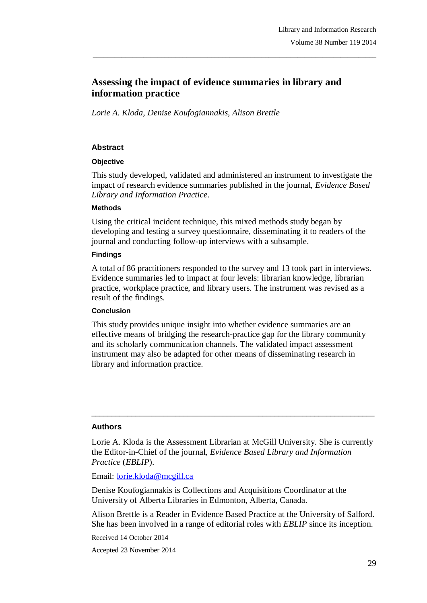# **Assessing the impact of evidence summaries in library and information practice**

\_\_\_\_\_\_\_\_\_\_\_\_\_\_\_\_\_\_\_\_\_\_\_\_\_\_\_\_\_\_\_\_\_\_\_\_\_\_\_\_\_\_\_\_\_\_\_\_\_\_\_\_\_\_\_\_\_\_\_\_\_\_\_\_\_\_\_\_\_\_\_\_\_\_\_\_\_\_\_

*Lorie A. Kloda, Denise Koufogiannakis, Alison Brettle*

### **Abstract**

#### **Objective**

This study developed, validated and administered an instrument to investigate the impact of research evidence summaries published in the journal, *Evidence Based Library and Information Practice*.

#### **Methods**

Using the critical incident technique, this mixed methods study began by developing and testing a survey questionnaire, disseminating it to readers of the journal and conducting follow-up interviews with a subsample.

#### **Findings**

A total of 86 practitioners responded to the survey and 13 took part in interviews. Evidence summaries led to impact at four levels: librarian knowledge, librarian practice, workplace practice, and library users. The instrument was revised as a result of the findings.

#### **Conclusion**

This study provides unique insight into whether evidence summaries are an effective means of bridging the research-practice gap for the library community and its scholarly communication channels. The validated impact assessment instrument may also be adapted for other means of disseminating research in library and information practice.

#### **Authors**

Lorie A. Kloda is the Assessment Librarian at McGill University. She is currently the Editor-in-Chief of the journal, *Evidence Based Library and Information Practice* (*EBLIP*).

 $\_$  ,  $\_$  ,  $\_$  ,  $\_$  ,  $\_$  ,  $\_$  ,  $\_$  ,  $\_$  ,  $\_$  ,  $\_$  ,  $\_$  ,  $\_$  ,  $\_$  ,  $\_$  ,  $\_$  ,  $\_$  ,  $\_$  ,  $\_$  ,  $\_$ 

Email: lorie.kloda@mcgill.ca

Denise Koufogiannakis is Collections and Acquisitions Coordinator at the University of Alberta Libraries in Edmonton, Alberta, Canada.

Alison Brettle is a Reader in Evidence Based Practice at the University of Salford. She has been involved in a range of editorial roles with *EBLIP* since its inception.

Received 14 October 2014

Accepted 23 November 2014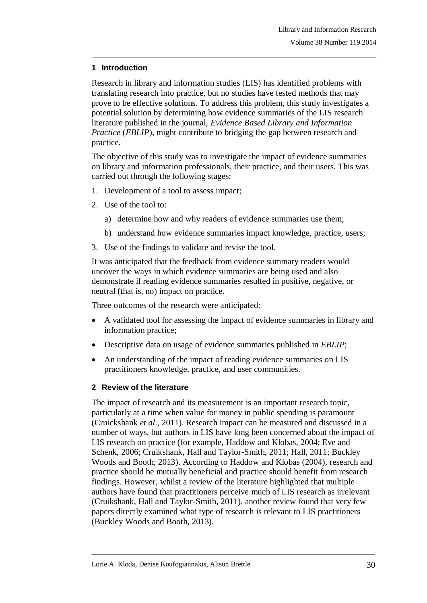## **1 Introduction**

Research in library and information studies (LIS) has identified problems with translating research into practice, but no studies have tested methods that may prove to be effective solutions. To address this problem, this study investigates a potential solution by determining how evidence summaries of the LIS research literature published in the journal, *Evidence Based Library and Information Practice (EBLIP)*, might contribute to bridging the gap between research and practice.

\_\_\_\_\_\_\_\_\_\_\_\_\_\_\_\_\_\_\_\_\_\_\_\_\_\_\_\_\_\_\_\_\_\_\_\_\_\_\_\_\_\_\_\_\_\_\_\_\_\_\_\_\_\_\_\_\_\_\_\_\_\_\_\_\_\_\_\_\_\_\_\_\_\_\_\_\_\_\_

The objective of this study was to investigate the impact of evidence summaries on library and information professionals, their practice, and their users. This was carried out through the following stages:

- 1. Development of a tool to assess impact;
- 2. Use of the tool to:
	- a) determine how and why readers of evidence summaries use them;
	- b) understand how evidence summaries impact knowledge, practice, users;
- 3. Use of the findings to validate and revise the tool.

It was anticipated that the feedback from evidence summary readers would uncover the ways in which evidence summaries are being used and also demonstrate if reading evidence summaries resulted in positive, negative, or neutral (that is, no) impact on practice.

Three outcomes of the research were anticipated:

- A validated tool for assessing the impact of evidence summaries in library and information practice;
- Descriptive data on usage of evidence summaries published in *EBLIP*;
- An understanding of the impact of reading evidence summaries on LIS practitioners knowledge, practice, and user communities.

## **2 Review of the literature**

The impact of research and its measurement is an important research topic, particularly at a time when value for money in public spending is paramount (Cruickshank *et al*., 2011). Research impact can be measured and discussed in a number of ways, but authors in LIS have long been concerned about the impact of LIS research on practice (for example, Haddow and Klobas, 2004; Eve and Schenk, 2006; Cruikshank, Hall and Taylor-Smith, 2011; Hall, 2011; Buckley Woods and Booth; 2013). According to Haddow and Klobas (2004), research and practice should be mutually beneficial and practice should benefit from research findings. However, whilst a review of the literature highlighted that multiple authors have found that practitioners perceive much of LIS research as irrelevant (Cruikshank, Hall and Taylor-Smith, 2011), another review found that very few papers directly examined what type of research is relevant to LIS practitioners (Buckley Woods and Booth, 2013).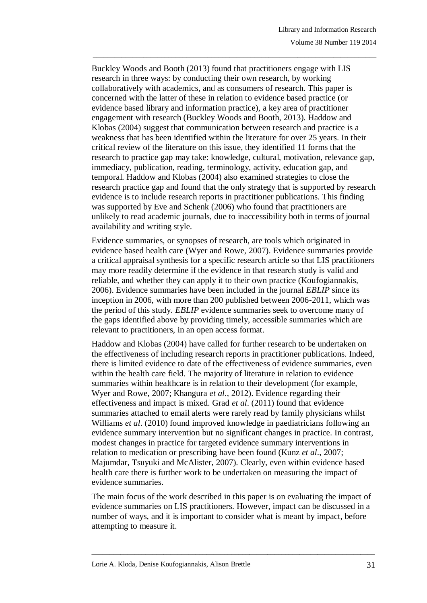Buckley Woods and Booth (2013) found that practitioners engage with LIS research in three ways: by conducting their own research, by working collaboratively with academics, and as consumers of research. This paper is concerned with the latter of these in relation to evidence based practice (or evidence based library and information practice), a key area of practitioner engagement with research (Buckley Woods and Booth, 2013). Haddow and Klobas (2004) suggest that communication between research and practice is a weakness that has been identified within the literature for over 25 years. In their critical review of the literature on this issue, they identified 11 forms that the research to practice gap may take: knowledge, cultural, motivation, relevance gap, immediacy, publication, reading, terminology, activity, education gap, and temporal. Haddow and Klobas (2004) also examined strategies to close the research practice gap and found that the only strategy that is supported by research evidence is to include research reports in practitioner publications. This finding was supported by Eve and Schenk (2006) who found that practitioners are unlikely to read academic journals, due to inaccessibility both in terms of journal availability and writing style.

\_\_\_\_\_\_\_\_\_\_\_\_\_\_\_\_\_\_\_\_\_\_\_\_\_\_\_\_\_\_\_\_\_\_\_\_\_\_\_\_\_\_\_\_\_\_\_\_\_\_\_\_\_\_\_\_\_\_\_\_\_\_\_\_\_\_\_\_\_\_\_\_\_\_\_\_\_\_\_

Evidence summaries, or synopses of research, are tools which originated in evidence based health care (Wyer and Rowe, 2007). Evidence summaries provide a critical appraisal synthesis for a specific research article so that LIS practitioners may more readily determine if the evidence in that research study is valid and reliable, and whether they can apply it to their own practice (Koufogiannakis, 2006). Evidence summaries have been included in the journal *EBLIP* since its inception in 2006, with more than 200 published between 2006-2011, which was the period of this study. *EBLIP* evidence summaries seek to overcome many of the gaps identified above by providing timely, accessible summaries which are relevant to practitioners, in an open access format.

Haddow and Klobas (2004) have called for further research to be undertaken on the effectiveness of including research reports in practitioner publications. Indeed, there is limited evidence to date of the effectiveness of evidence summaries, even within the health care field. The majority of literature in relation to evidence summaries within healthcare is in relation to their development (for example, Wyer and Rowe, 2007; Khangura *et al*., 2012). Evidence regarding their effectiveness and impact is mixed. Grad *et al*. (2011) found that evidence summaries attached to email alerts were rarely read by family physicians whilst Williams *et al*. (2010) found improved knowledge in paediatricians following an evidence summary intervention but no significant changes in practice. In contrast, modest changes in practice for targeted evidence summary interventions in relation to medication or prescribing have been found (Kunz *et al*., 2007; Majumdar, Tsuyuki and McAlister, 2007). Clearly, even within evidence based health care there is further work to be undertaken on measuring the impact of evidence summaries.

The main focus of the work described in this paper is on evaluating the impact of evidence summaries on LIS practitioners. However, impact can be discussed in a number of ways, and it is important to consider what is meant by impact, before attempting to measure it.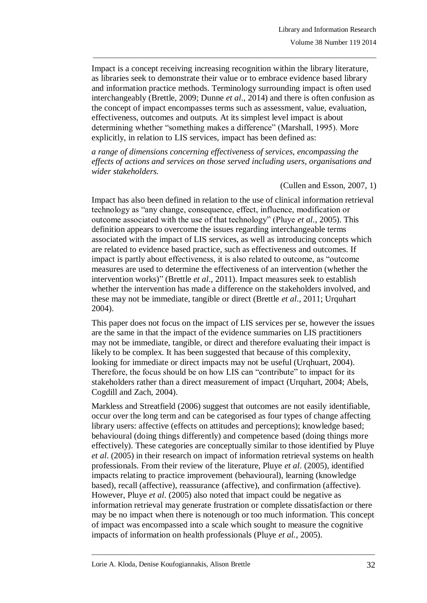Impact is a concept receiving increasing recognition within the library literature, as libraries seek to demonstrate their value or to embrace evidence based library and information practice methods. Terminology surrounding impact is often used interchangeably (Brettle, 2009; Dunne *et al*., 2014) and there is often confusion as the concept of impact encompasses terms such as assessment, value, evaluation, effectiveness, outcomes and outputs. At its simplest level impact is about determining whether "something makes a difference" (Marshall, 1995). More explicitly, in relation to LIS services, impact has been defined as:

\_\_\_\_\_\_\_\_\_\_\_\_\_\_\_\_\_\_\_\_\_\_\_\_\_\_\_\_\_\_\_\_\_\_\_\_\_\_\_\_\_\_\_\_\_\_\_\_\_\_\_\_\_\_\_\_\_\_\_\_\_\_\_\_\_\_\_\_\_\_\_\_\_\_\_\_\_\_\_

*a range of dimensions concerning effectiveness of services, encompassing the effects of actions and services on those served including users, organisations and wider stakeholders.*

(Cullen and Esson, 2007, 1)

Impact has also been defined in relation to the use of clinical information retrieval technology as "any change, consequence, effect, influence, modification or outcome associated with the use of that technology" (Pluye *et al*., 2005). This definition appears to overcome the issues regarding interchangeable terms associated with the impact of LIS services, as well as introducing concepts which are related to evidence based practice, such as effectiveness and outcomes. If impact is partly about effectiveness, it is also related to outcome, as "outcome measures are used to determine the effectiveness of an intervention (whether the intervention works)" (Brettle *et al*., 2011). Impact measures seek to establish whether the intervention has made a difference on the stakeholders involved, and these may not be immediate, tangible or direct (Brettle *et al*., 2011; Urquhart 2004).

This paper does not focus on the impact of LIS services per se, however the issues are the same in that the impact of the evidence summaries on LIS practitioners may not be immediate, tangible, or direct and therefore evaluating their impact is likely to be complex. It has been suggested that because of this complexity, looking for immediate or direct impacts may not be useful (Urqhuart, 2004). Therefore, the focus should be on how LIS can "contribute" to impact for its stakeholders rather than a direct measurement of impact (Urquhart, 2004; Abels, Cogdill and Zach, 2004).

Markless and Streatfield (2006) suggest that outcomes are not easily identifiable, occur over the long term and can be categorised as four types of change affecting library users: affective (effects on attitudes and perceptions); knowledge based; behavioural (doing things differently) and competence based (doing things more effectively). These categories are conceptually similar to those identified by Pluye *et al*. (2005) in their research on impact of information retrieval systems on health professionals. From their review of the literature, Pluye *et al*. (2005), identified impacts relating to practice improvement (behavioural), learning (knowledge based), recall (affective), reassurance (affective), and confirmation (affective). However, Pluye *et al*. (2005) also noted that impact could be negative as information retrieval may generate frustration or complete dissatisfaction or there may be no impact when there is notenough or too much information. This concept of impact was encompassed into a scale which sought to measure the cognitive impacts of information on health professionals (Pluye *et al.*, 2005).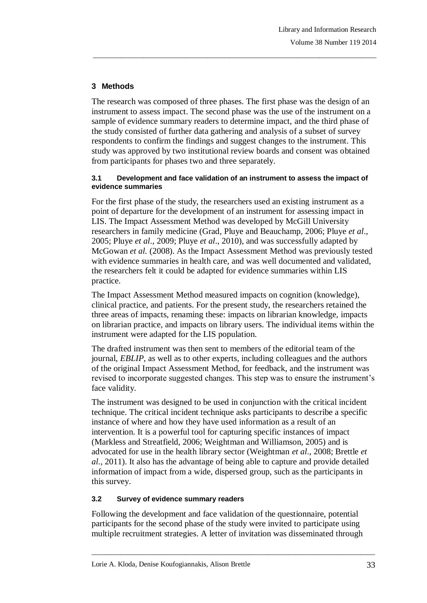## **3 Methods**

The research was composed of three phases. The first phase was the design of an instrument to assess impact. The second phase was the use of the instrument on a sample of evidence summary readers to determine impact, and the third phase of the study consisted of further data gathering and analysis of a subset of survey respondents to confirm the findings and suggest changes to the instrument. This study was approved by two institutional review boards and consent was obtained from participants for phases two and three separately.

\_\_\_\_\_\_\_\_\_\_\_\_\_\_\_\_\_\_\_\_\_\_\_\_\_\_\_\_\_\_\_\_\_\_\_\_\_\_\_\_\_\_\_\_\_\_\_\_\_\_\_\_\_\_\_\_\_\_\_\_\_\_\_\_\_\_\_\_\_\_\_\_\_\_\_\_\_\_\_

#### **3.1 Development and face validation of an instrument to assess the impact of evidence summaries**

For the first phase of the study, the researchers used an existing instrument as a point of departure for the development of an instrument for assessing impact in LIS. The Impact Assessment Method was developed by McGill University researchers in family medicine (Grad, Pluye and Beauchamp, 2006; Pluye *et al*., 2005; Pluye *et al*., 2009; Pluye *et al*., 2010), and was successfully adapted by McGowan *et al.* (2008). As the Impact Assessment Method was previously tested with evidence summaries in health care, and was well documented and validated, the researchers felt it could be adapted for evidence summaries within LIS practice.

The Impact Assessment Method measured impacts on cognition (knowledge), clinical practice, and patients. For the present study, the researchers retained the three areas of impacts, renaming these: impacts on librarian knowledge, impacts on librarian practice, and impacts on library users. The individual items within the instrument were adapted for the LIS population.

The drafted instrument was then sent to members of the editorial team of the journal, *EBLIP*, as well as to other experts, including colleagues and the authors of the original Impact Assessment Method, for feedback, and the instrument was revised to incorporate suggested changes. This step was to ensure the instrument's face validity.

The instrument was designed to be used in conjunction with the critical incident technique. The critical incident technique asks participants to describe a specific instance of where and how they have used information as a result of an intervention. It is a powerful tool for capturing specific instances of impact (Markless and Streatfield, 2006; Weightman and Williamson, 2005) and is advocated for use in the health library sector (Weightman *et al*., 2008; Brettle *et al*., 2011). It also has the advantage of being able to capture and provide detailed information of impact from a wide, dispersed group, such as the participants in this survey.

## **3.2 Survey of evidence summary readers**

Following the development and face validation of the questionnaire, potential participants for the second phase of the study were invited to participate using multiple recruitment strategies. A letter of invitation was disseminated through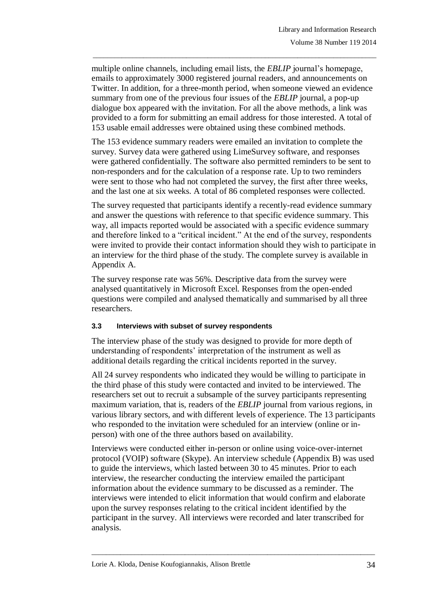multiple online channels, including email lists, the *EBLIP* journal's homepage, emails to approximately 3000 registered journal readers, and announcements on Twitter. In addition, for a three-month period, when someone viewed an evidence summary from one of the previous four issues of the *EBLIP* journal, a pop-up dialogue box appeared with the invitation. For all the above methods, a link was provided to a form for submitting an email address for those interested. A total of 153 usable email addresses were obtained using these combined methods.

\_\_\_\_\_\_\_\_\_\_\_\_\_\_\_\_\_\_\_\_\_\_\_\_\_\_\_\_\_\_\_\_\_\_\_\_\_\_\_\_\_\_\_\_\_\_\_\_\_\_\_\_\_\_\_\_\_\_\_\_\_\_\_\_\_\_\_\_\_\_\_\_\_\_\_\_\_\_\_

The 153 evidence summary readers were emailed an invitation to complete the survey. Survey data were gathered using LimeSurvey software, and responses were gathered confidentially. The software also permitted reminders to be sent to non-responders and for the calculation of a response rate. Up to two reminders were sent to those who had not completed the survey, the first after three weeks, and the last one at six weeks. A total of 86 completed responses were collected.

The survey requested that participants identify a recently-read evidence summary and answer the questions with reference to that specific evidence summary. This way, all impacts reported would be associated with a specific evidence summary and therefore linked to a "critical incident." At the end of the survey, respondents were invited to provide their contact information should they wish to participate in an interview for the third phase of the study. The complete survey is available in Appendix A.

The survey response rate was 56%. Descriptive data from the survey were analysed quantitatively in Microsoft Excel. Responses from the open-ended questions were compiled and analysed thematically and summarised by all three researchers.

## **3.3 Interviews with subset of survey respondents**

The interview phase of the study was designed to provide for more depth of understanding of respondents' interpretation of the instrument as well as additional details regarding the critical incidents reported in the survey.

All 24 survey respondents who indicated they would be willing to participate in the third phase of this study were contacted and invited to be interviewed. The researchers set out to recruit a subsample of the survey participants representing maximum variation, that is, readers of the *EBLIP* journal from various regions, in various library sectors, and with different levels of experience. The 13 participants who responded to the invitation were scheduled for an interview (online or inperson) with one of the three authors based on availability.

Interviews were conducted either in-person or online using voice-over-internet protocol (VOIP) software (Skype). An interview schedule (Appendix B) was used to guide the interviews, which lasted between 30 to 45 minutes. Prior to each interview, the researcher conducting the interview emailed the participant information about the evidence summary to be discussed as a reminder. The interviews were intended to elicit information that would confirm and elaborate upon the survey responses relating to the critical incident identified by the participant in the survey. All interviews were recorded and later transcribed for analysis.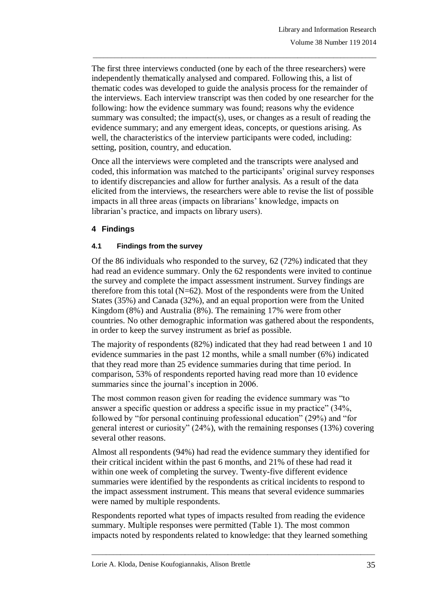The first three interviews conducted (one by each of the three researchers) were independently thematically analysed and compared. Following this, a list of thematic codes was developed to guide the analysis process for the remainder of the interviews. Each interview transcript was then coded by one researcher for the following: how the evidence summary was found; reasons why the evidence summary was consulted; the impact(s), uses, or changes as a result of reading the evidence summary; and any emergent ideas, concepts, or questions arising. As well, the characteristics of the interview participants were coded, including: setting, position, country, and education.

\_\_\_\_\_\_\_\_\_\_\_\_\_\_\_\_\_\_\_\_\_\_\_\_\_\_\_\_\_\_\_\_\_\_\_\_\_\_\_\_\_\_\_\_\_\_\_\_\_\_\_\_\_\_\_\_\_\_\_\_\_\_\_\_\_\_\_\_\_\_\_\_\_\_\_\_\_\_\_

Once all the interviews were completed and the transcripts were analysed and coded, this information was matched to the participants' original survey responses to identify discrepancies and allow for further analysis. As a result of the data elicited from the interviews, the researchers were able to revise the list of possible impacts in all three areas (impacts on librarians' knowledge, impacts on librarian's practice, and impacts on library users).

## **4 Findings**

### **4.1 Findings from the survey**

Of the 86 individuals who responded to the survey, 62 (72%) indicated that they had read an evidence summary. Only the 62 respondents were invited to continue the survey and complete the impact assessment instrument. Survey findings are therefore from this total  $(N=62)$ . Most of the respondents were from the United States (35%) and Canada (32%), and an equal proportion were from the United Kingdom (8%) and Australia (8%). The remaining 17% were from other countries. No other demographic information was gathered about the respondents, in order to keep the survey instrument as brief as possible.

The majority of respondents (82%) indicated that they had read between 1 and 10 evidence summaries in the past 12 months, while a small number (6%) indicated that they read more than 25 evidence summaries during that time period. In comparison, 53% of respondents reported having read more than 10 evidence summaries since the journal's inception in 2006.

The most common reason given for reading the evidence summary was "to answer a specific question or address a specific issue in my practice" (34%, followed by "for personal continuing professional education" (29%) and "for general interest or curiosity" (24%), with the remaining responses (13%) covering several other reasons.

Almost all respondents (94%) had read the evidence summary they identified for their critical incident within the past 6 months, and 21% of these had read it within one week of completing the survey. Twenty-five different evidence summaries were identified by the respondents as critical incidents to respond to the impact assessment instrument. This means that several evidence summaries were named by multiple respondents.

Respondents reported what types of impacts resulted from reading the evidence summary. Multiple responses were permitted (Table 1). The most common impacts noted by respondents related to knowledge: that they learned something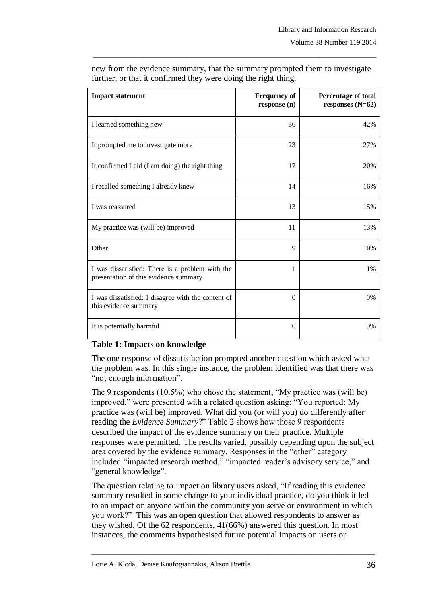| <b>Impact statement</b>                                                                  | <b>Frequency of</b><br>response (n) | Percentage of total<br>responses $(N=62)$ |
|------------------------------------------------------------------------------------------|-------------------------------------|-------------------------------------------|
| I learned something new                                                                  | 36                                  | 42%                                       |
| It prompted me to investigate more                                                       | 23                                  | 27%                                       |
| It confirmed I did (I am doing) the right thing                                          | 17                                  | 20%                                       |
| I recalled something I already knew                                                      | 14                                  | 16%                                       |
| I was reassured                                                                          | 13                                  | 15%                                       |
| My practice was (will be) improved                                                       | 11                                  | 13%                                       |
| Other                                                                                    | 9                                   | 10%                                       |
| I was dissatisfied: There is a problem with the<br>presentation of this evidence summary | 1                                   | 1%                                        |
| I was dissatisfied: I disagree with the content of<br>this evidence summary              | $\Omega$                            | $0\%$                                     |
| It is potentially harmful                                                                | $\Omega$                            | $0\%$                                     |

new from the evidence summary, that the summary prompted them to investigate further, or that it confirmed they were doing the right thing.

\_\_\_\_\_\_\_\_\_\_\_\_\_\_\_\_\_\_\_\_\_\_\_\_\_\_\_\_\_\_\_\_\_\_\_\_\_\_\_\_\_\_\_\_\_\_\_\_\_\_\_\_\_\_\_\_\_\_\_\_\_\_\_\_\_\_\_\_\_\_\_\_\_\_\_\_\_\_\_

#### **Table 1: Impacts on knowledge**

The one response of dissatisfaction prompted another question which asked what the problem was. In this single instance, the problem identified was that there was "not enough information".

The 9 respondents (10.5%) who chose the statement, "My practice was (will be) improved," were presented with a related question asking: "You reported: My practice was (will be) improved. What did you (or will you) do differently after reading the *Evidence Summary*?" Table 2 shows how those 9 respondents described the impact of the evidence summary on their practice. Multiple responses were permitted. The results varied, possibly depending upon the subject area covered by the evidence summary. Responses in the "other" category included "impacted research method," "impacted reader's advisory service," and "general knowledge".

The question relating to impact on library users asked, "If reading this evidence summary resulted in some change to your individual practice, do you think it led to an impact on anyone within the community you serve or environment in which you work?" This was an open question that allowed respondents to answer as they wished. Of the 62 respondents, 41(66%) answered this question. In most instances, the comments hypothesised future potential impacts on users or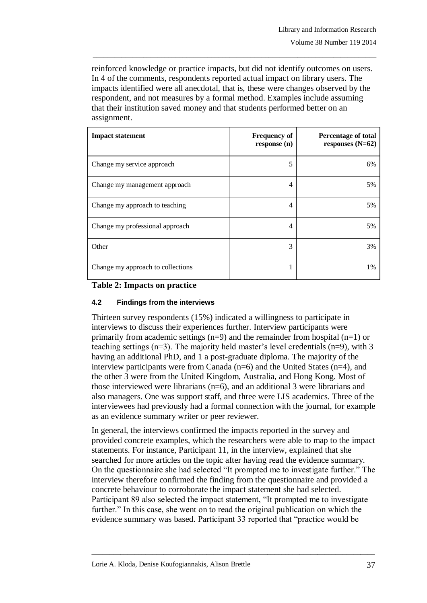reinforced knowledge or practice impacts, but did not identify outcomes on users. In 4 of the comments, respondents reported actual impact on library users. The impacts identified were all anecdotal, that is, these were changes observed by the respondent, and not measures by a formal method. Examples include assuming that their institution saved money and that students performed better on an assignment.

\_\_\_\_\_\_\_\_\_\_\_\_\_\_\_\_\_\_\_\_\_\_\_\_\_\_\_\_\_\_\_\_\_\_\_\_\_\_\_\_\_\_\_\_\_\_\_\_\_\_\_\_\_\_\_\_\_\_\_\_\_\_\_\_\_\_\_\_\_\_\_\_\_\_\_\_\_\_\_

| <b>Impact statement</b>           | <b>Frequency of</b><br>response(n) | <b>Percentage of total</b><br>responses $(N=62)$ |
|-----------------------------------|------------------------------------|--------------------------------------------------|
| Change my service approach        | 5                                  | 6%                                               |
| Change my management approach     | 4                                  | 5%                                               |
| Change my approach to teaching    | 4                                  | 5%                                               |
| Change my professional approach   | 4                                  | 5%                                               |
| Other                             | 3                                  | 3%                                               |
| Change my approach to collections | ı                                  | $1\%$                                            |

## **Table 2: Impacts on practice**

## **4.2 Findings from the interviews**

Thirteen survey respondents (15%) indicated a willingness to participate in interviews to discuss their experiences further. Interview participants were primarily from academic settings ( $n=9$ ) and the remainder from hospital ( $n=1$ ) or teaching settings (n=3). The majority held master's level credentials (n=9), with 3 having an additional PhD, and 1 a post-graduate diploma. The majority of the interview participants were from Canada (n=6) and the United States (n=4), and the other 3 were from the United Kingdom, Australia, and Hong Kong. Most of those interviewed were librarians (n=6), and an additional 3 were librarians and also managers. One was support staff, and three were LIS academics. Three of the interviewees had previously had a formal connection with the journal, for example as an evidence summary writer or peer reviewer.

In general, the interviews confirmed the impacts reported in the survey and provided concrete examples, which the researchers were able to map to the impact statements. For instance, Participant 11, in the interview, explained that she searched for more articles on the topic after having read the evidence summary. On the questionnaire she had selected "It prompted me to investigate further." The interview therefore confirmed the finding from the questionnaire and provided a concrete behaviour to corroborate the impact statement she had selected. Participant 89 also selected the impact statement, "It prompted me to investigate further." In this case, she went on to read the original publication on which the evidence summary was based. Participant 33 reported that "practice would be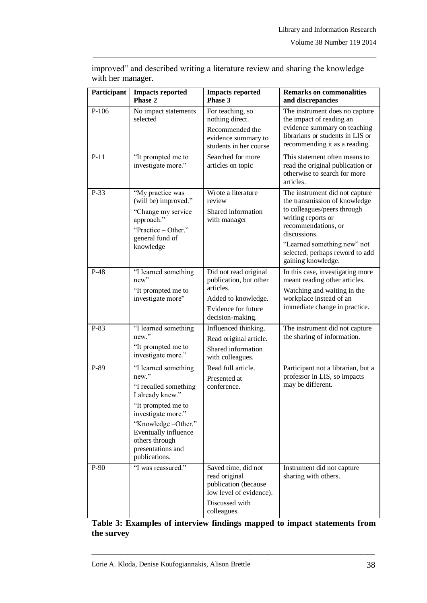| Participant | <b>Impacts reported</b><br>Phase 2                                                                                                                                                                                           | <b>Impacts reported</b><br>Phase 3                                                                                             | <b>Remarks on commonalities</b><br>and discrepancies                                                                                                                                                                                                |
|-------------|------------------------------------------------------------------------------------------------------------------------------------------------------------------------------------------------------------------------------|--------------------------------------------------------------------------------------------------------------------------------|-----------------------------------------------------------------------------------------------------------------------------------------------------------------------------------------------------------------------------------------------------|
| $P-106$     | No impact statements<br>selected                                                                                                                                                                                             | For teaching, so<br>nothing direct.<br>Recommended the<br>evidence summary to<br>students in her course                        | The instrument does no capture<br>the impact of reading an<br>evidence summary on teaching<br>librarians or students in LIS or<br>recommending it as a reading.                                                                                     |
| $P-11$      | "It prompted me to<br>investigate more."                                                                                                                                                                                     | Searched for more<br>articles on topic                                                                                         | This statement often means to<br>read the original publication or<br>otherwise to search for more<br>articles.                                                                                                                                      |
| $P-33$      | "My practice was<br>(will be) improved."<br>"Change my service"<br>approach."<br>"Practice - Other."<br>general fund of<br>knowledge                                                                                         | Wrote a literature<br>review<br>Shared information<br>with manager                                                             | The instrument did not capture<br>the transmission of knowledge<br>to colleagues/peers through<br>writing reports or<br>recommendations, or<br>discussions.<br>"Learned something new" not<br>selected, perhaps reword to add<br>gaining knowledge. |
| $P-48$      | "I learned something<br>new"<br>"It prompted me to<br>investigate more"                                                                                                                                                      | Did not read original<br>publication, but other<br>articles.<br>Added to knowledge.<br>Evidence for future<br>decision-making. | In this case, investigating more<br>meant reading other articles.<br>Watching and waiting in the<br>workplace instead of an<br>immediate change in practice.                                                                                        |
| P-83        | "I learned something<br>new."<br>"It prompted me to<br>investigate more."                                                                                                                                                    | Influenced thinking.<br>Read original article.<br>Shared information<br>with colleagues.                                       | The instrument did not capture<br>the sharing of information.                                                                                                                                                                                       |
| P-89        | "I learned something<br>new."<br>"I recalled something<br>I already knew."<br>"It prompted me to<br>investigate more."<br>"Knowledge-Other."<br>Eventually influence<br>others through<br>presentations and<br>publications. | Read full article.<br>Presented at<br>conference.                                                                              | Participant not a librarian, but a<br>professor in LIS, so impacts<br>may be different.                                                                                                                                                             |
| $P-90$      | "I was reassured."                                                                                                                                                                                                           | Saved time, did not<br>read original<br>publication (because<br>low level of evidence).<br>Discussed with<br>colleagues.       | Instrument did not capture<br>sharing with others.                                                                                                                                                                                                  |

improved" and described writing a literature review and sharing the knowledge with her manager.

\_\_\_\_\_\_\_\_\_\_\_\_\_\_\_\_\_\_\_\_\_\_\_\_\_\_\_\_\_\_\_\_\_\_\_\_\_\_\_\_\_\_\_\_\_\_\_\_\_\_\_\_\_\_\_\_\_\_\_\_\_\_\_\_\_\_\_\_\_\_\_\_\_\_\_\_\_\_\_

## **Table 3: Examples of interview findings mapped to impact statements from the survey**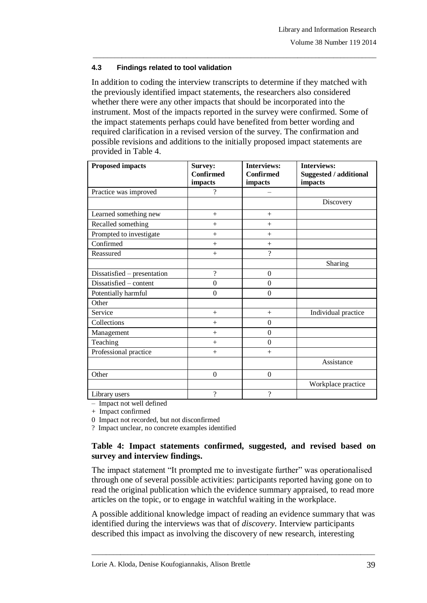### **4.3 Findings related to tool validation**

In addition to coding the interview transcripts to determine if they matched with the previously identified impact statements, the researchers also considered whether there were any other impacts that should be incorporated into the instrument. Most of the impacts reported in the survey were confirmed. Some of the impact statements perhaps could have benefited from better wording and required clarification in a revised version of the survey. The confirmation and possible revisions and additions to the initially proposed impact statements are provided in Table 4.

\_\_\_\_\_\_\_\_\_\_\_\_\_\_\_\_\_\_\_\_\_\_\_\_\_\_\_\_\_\_\_\_\_\_\_\_\_\_\_\_\_\_\_\_\_\_\_\_\_\_\_\_\_\_\_\_\_\_\_\_\_\_\_\_\_\_\_\_\_\_\_\_\_\_\_\_\_\_\_

| <b>Proposed impacts</b>     | Survey:                  | <b>Interviews:</b> | <b>Interviews:</b>     |
|-----------------------------|--------------------------|--------------------|------------------------|
|                             | <b>Confirmed</b>         | <b>Confirmed</b>   | Suggested / additional |
|                             | impacts                  | impacts            | impacts                |
| Practice was improved       | ?                        |                    |                        |
|                             |                          |                    | Discovery              |
| Learned something new       | $+$                      | $+$                |                        |
| Recalled something          | $+$                      | $+$                |                        |
| Prompted to investigate     | $+$                      | $^{+}$             |                        |
| Confirmed                   | $+$                      | $+$                |                        |
| Reassured                   | $+$                      | $\gamma$           |                        |
|                             |                          |                    | Sharing                |
| Dissatisfied – presentation | $\overline{?}$           | $\boldsymbol{0}$   |                        |
| Dissatisfied - content      | $\theta$                 | $\Omega$           |                        |
| Potentially harmful         | $\mathbf{0}$             | $\mathbf{0}$       |                        |
| Other                       |                          |                    |                        |
| Service                     | $+$                      | $+$                | Individual practice    |
| Collections                 | $+$                      | $\mathbf{0}$       |                        |
| Management                  | $^{+}$                   | $\mathbf{0}$       |                        |
| Teaching                    | $+$                      | $\overline{0}$     |                        |
| Professional practice       | $+$                      | $+$                |                        |
|                             |                          |                    | Assistance             |
| Other                       | $\overline{0}$           | $\boldsymbol{0}$   |                        |
|                             |                          |                    | Workplace practice     |
| Library users               | $\overline{\mathcal{C}}$ | $\gamma$           |                        |

– Impact not well defined

+ Impact confirmed

0 Impact not recorded, but not disconfirmed

? Impact unclear, no concrete examples identified

### **Table 4: Impact statements confirmed, suggested, and revised based on survey and interview findings.**

The impact statement "It prompted me to investigate further" was operationalised through one of several possible activities: participants reported having gone on to read the original publication which the evidence summary appraised, to read more articles on the topic, or to engage in watchful waiting in the workplace.

A possible additional knowledge impact of reading an evidence summary that was identified during the interviews was that of *discovery*. Interview participants described this impact as involving the discovery of new research, interesting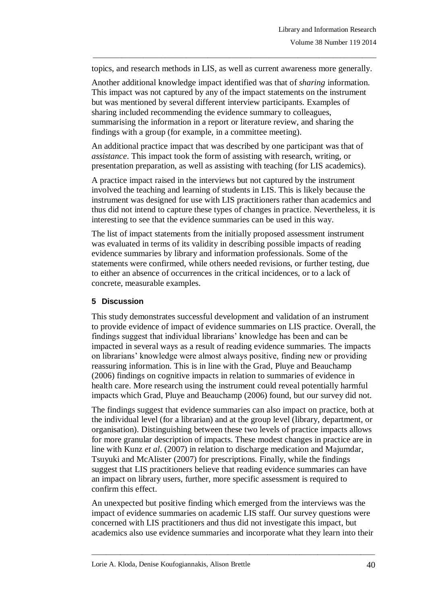topics, and research methods in LIS, as well as current awareness more generally.

\_\_\_\_\_\_\_\_\_\_\_\_\_\_\_\_\_\_\_\_\_\_\_\_\_\_\_\_\_\_\_\_\_\_\_\_\_\_\_\_\_\_\_\_\_\_\_\_\_\_\_\_\_\_\_\_\_\_\_\_\_\_\_\_\_\_\_\_\_\_\_\_\_\_\_\_\_\_\_

Another additional knowledge impact identified was that of *sharing* information. This impact was not captured by any of the impact statements on the instrument but was mentioned by several different interview participants. Examples of sharing included recommending the evidence summary to colleagues, summarising the information in a report or literature review, and sharing the findings with a group (for example, in a committee meeting).

An additional practice impact that was described by one participant was that of *assistance*. This impact took the form of assisting with research, writing, or presentation preparation, as well as assisting with teaching (for LIS academics).

A practice impact raised in the interviews but not captured by the instrument involved the teaching and learning of students in LIS. This is likely because the instrument was designed for use with LIS practitioners rather than academics and thus did not intend to capture these types of changes in practice. Nevertheless, it is interesting to see that the evidence summaries can be used in this way.

The list of impact statements from the initially proposed assessment instrument was evaluated in terms of its validity in describing possible impacts of reading evidence summaries by library and information professionals. Some of the statements were confirmed, while others needed revisions, or further testing, due to either an absence of occurrences in the critical incidences, or to a lack of concrete, measurable examples.

## **5 Discussion**

This study demonstrates successful development and validation of an instrument to provide evidence of impact of evidence summaries on LIS practice. Overall, the findings suggest that individual librarians' knowledge has been and can be impacted in several ways as a result of reading evidence summaries. The impacts on librarians' knowledge were almost always positive, finding new or providing reassuring information. This is in line with the Grad, Pluye and Beauchamp (2006) findings on cognitive impacts in relation to summaries of evidence in health care. More research using the instrument could reveal potentially harmful impacts which Grad, Pluye and Beauchamp (2006) found, but our survey did not.

The findings suggest that evidence summaries can also impact on practice, both at the individual level (for a librarian) and at the group level (library, department, or organisation). Distinguishing between these two levels of practice impacts allows for more granular description of impacts. These modest changes in practice are in line with Kunz *et al*. (2007) in relation to discharge medication and Majumdar, Tsuyuki and McAlister (2007) for prescriptions. Finally, while the findings suggest that LIS practitioners believe that reading evidence summaries can have an impact on library users, further, more specific assessment is required to confirm this effect.

An unexpected but positive finding which emerged from the interviews was the impact of evidence summaries on academic LIS staff. Our survey questions were concerned with LIS practitioners and thus did not investigate this impact, but academics also use evidence summaries and incorporate what they learn into their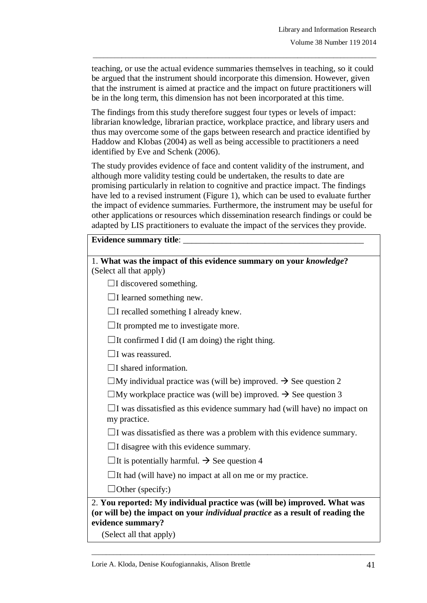teaching, or use the actual evidence summaries themselves in teaching, so it could be argued that the instrument should incorporate this dimension. However, given that the instrument is aimed at practice and the impact on future practitioners will be in the long term, this dimension has not been incorporated at this time.

\_\_\_\_\_\_\_\_\_\_\_\_\_\_\_\_\_\_\_\_\_\_\_\_\_\_\_\_\_\_\_\_\_\_\_\_\_\_\_\_\_\_\_\_\_\_\_\_\_\_\_\_\_\_\_\_\_\_\_\_\_\_\_\_\_\_\_\_\_\_\_\_\_\_\_\_\_\_\_

The findings from this study therefore suggest four types or levels of impact: librarian knowledge, librarian practice, workplace practice, and library users and thus may overcome some of the gaps between research and practice identified by Haddow and Klobas (2004) as well as being accessible to practitioners a need identified by Eve and Schenk (2006).

The study provides evidence of face and content validity of the instrument, and although more validity testing could be undertaken, the results to date are promising particularly in relation to cognitive and practice impact. The findings have led to a revised instrument (Figure 1), which can be used to evaluate further the impact of evidence summaries. Furthermore, the instrument may be useful for other applications or resources which dissemination research findings or could be adapted by LIS practitioners to evaluate the impact of the services they provide.

#### Evidence summary title:

| 1. What was the impact of this evidence summary on your knowledge?<br>(Select all that apply)              |
|------------------------------------------------------------------------------------------------------------|
|                                                                                                            |
| $\Box$ I discovered something.                                                                             |
| $\Box$ I learned something new.                                                                            |
| $\Box$ I recalled something I already knew.                                                                |
| $\Box$ It prompted me to investigate more.                                                                 |
| $\Box$ It confirmed I did (I am doing) the right thing.                                                    |
| $\Box$ I was reassured.                                                                                    |
| $\Box$ I shared information.                                                                               |
| $\Box$ My individual practice was (will be) improved. $\rightarrow$ See question 2                         |
| $\Box$ My workplace practice was (will be) improved. $\rightarrow$ See question 3                          |
| $\Box$ I was dissatisfied as this evidence summary had (will have) no impact on<br>my practice.            |
| $\Box$ I was dissatisfied as there was a problem with this evidence summary.                               |
| $\Box$ I disagree with this evidence summary.                                                              |
| $\Box$ It is potentially harmful. $\rightarrow$ See question 4                                             |
| $\Box$ It had (will have) no impact at all on me or my practice.                                           |
| $\Box$ Other (specify:)                                                                                    |
| 2. You reported: My individual practice was (will be) improved. What was                                   |
| (or will be) the impact on your <i>individual practice</i> as a result of reading the<br>evidence summary? |

\_\_\_\_\_\_\_\_\_\_\_\_\_\_\_\_\_\_\_\_\_\_\_\_\_\_\_\_\_\_\_\_\_\_\_\_\_\_\_\_\_\_\_\_\_\_\_\_\_\_\_\_\_\_\_\_\_\_\_\_\_\_\_\_\_\_\_\_\_\_\_\_\_\_\_\_\_\_\_

(Select all that apply)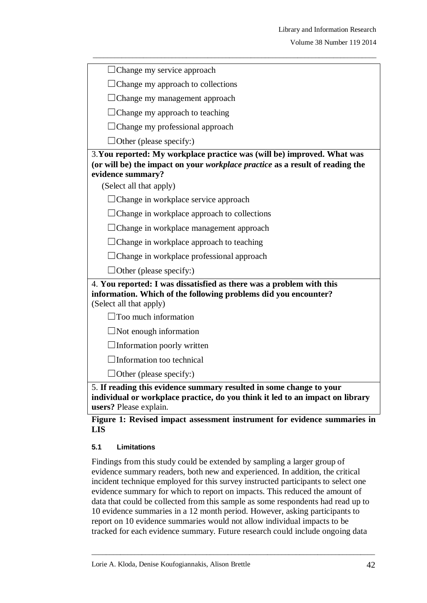| $\Box$ Change my service approach                                                                                                                                                    |
|--------------------------------------------------------------------------------------------------------------------------------------------------------------------------------------|
| $\Box$ Change my approach to collections                                                                                                                                             |
| $\Box$ Change my management approach                                                                                                                                                 |
| $\Box$ Change my approach to teaching                                                                                                                                                |
| $\Box$ Change my professional approach                                                                                                                                               |
| $\Box$ Other (please specify:)                                                                                                                                                       |
| 3. You reported: My workplace practice was (will be) improved. What was<br>(or will be) the impact on your <i>workplace practice</i> as a result of reading the<br>evidence summary? |
| (Select all that apply)                                                                                                                                                              |
| $\Box$ Change in workplace service approach                                                                                                                                          |
| $\Box$ Change in workplace approach to collections                                                                                                                                   |
| $\Box$ Change in workplace management approach                                                                                                                                       |
| $\Box$ Change in workplace approach to teaching                                                                                                                                      |
| $\Box$ Change in workplace professional approach                                                                                                                                     |
| $\Box$ Other (please specify:)                                                                                                                                                       |
| 4. You reported: I was dissatisfied as there was a problem with this<br>information. Which of the following problems did you encounter?<br>(Select all that apply)                   |
| Too much information                                                                                                                                                                 |
| $\Box$ Not enough information                                                                                                                                                        |
| $\Box$ Information poorly written                                                                                                                                                    |
| $\Box$ Information too technical                                                                                                                                                     |
| $\Box$ Other (please specify:)                                                                                                                                                       |
| 5. If reading this evidence summary resulted in some change to your<br>individual or workplace practice, do you think it led to an impact on library<br>users? Please explain.       |

#### **Figure 1: Revised impact assessment instrument for evidence summaries in LIS**

## **5.1 Limitations**

Findings from this study could be extended by sampling a larger group of evidence summary readers, both new and experienced. In addition, the critical incident technique employed for this survey instructed participants to select one evidence summary for which to report on impacts. This reduced the amount of data that could be collected from this sample as some respondents had read up to 10 evidence summaries in a 12 month period. However, asking participants to report on 10 evidence summaries would not allow individual impacts to be tracked for each evidence summary. Future research could include ongoing data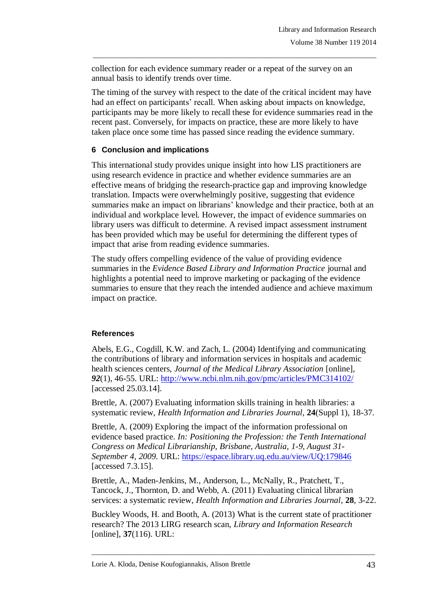collection for each evidence summary reader or a repeat of the survey on an annual basis to identify trends over time.

The timing of the survey with respect to the date of the critical incident may have had an effect on participants' recall. When asking about impacts on knowledge, participants may be more likely to recall these for evidence summaries read in the recent past. Conversely, for impacts on practice, these are more likely to have taken place once some time has passed since reading the evidence summary.

\_\_\_\_\_\_\_\_\_\_\_\_\_\_\_\_\_\_\_\_\_\_\_\_\_\_\_\_\_\_\_\_\_\_\_\_\_\_\_\_\_\_\_\_\_\_\_\_\_\_\_\_\_\_\_\_\_\_\_\_\_\_\_\_\_\_\_\_\_\_\_\_\_\_\_\_\_\_\_

### **6 Conclusion and implications**

This international study provides unique insight into how LIS practitioners are using research evidence in practice and whether evidence summaries are an effective means of bridging the research-practice gap and improving knowledge translation. Impacts were overwhelmingly positive, suggesting that evidence summaries make an impact on librarians' knowledge and their practice, both at an individual and workplace level. However, the impact of evidence summaries on library users was difficult to determine. A revised impact assessment instrument has been provided which may be useful for determining the different types of impact that arise from reading evidence summaries.

The study offers compelling evidence of the value of providing evidence summaries in the *Evidence Based Library and Information Practice* journal and highlights a potential need to improve marketing or packaging of the evidence summaries to ensure that they reach the intended audience and achieve maximum impact on practice.

## **References**

Abels, E.G., Cogdill, K.W. and Zach, L. (2004) Identifying and communicating the contributions of library and information services in hospitals and academic health sciences centers, *Journal of the Medical Library Association* [online]*, 92*(1), 46-55. URL:<http://www.ncbi.nlm.nih.gov/pmc/articles/PMC314102/> [accessed 25.03.14].

Brettle, A. (2007) Evaluating information skills training in health libraries: a systematic review, *Health Information and Libraries Journal,* **24**(Suppl 1), 18-37.

Brettle, A. (2009) Exploring the impact of the information professional on evidence based practice. *In: Positioning the Profession: the Tenth International Congress on Medical Librarianship, Brisbane, Australia, 1-9, August 31- September 4, 2009.* URL: <https://espace.library.uq.edu.au/view/UQ:179846> [accessed 7.3.15].

Brettle, A., Maden-Jenkins, M., Anderson, L., McNally, R., Pratchett, T., Tancock, J., Thornton, D. and Webb, A. (2011) Evaluating clinical librarian services: a systematic review, *Health Information and Libraries Journal*, **28**, 3-22.

Buckley Woods, H. and Booth, A. (2013) What is the current state of practitioner research? The 2013 LIRG research scan, *Library and Information Research* [online], **37**(116). URL: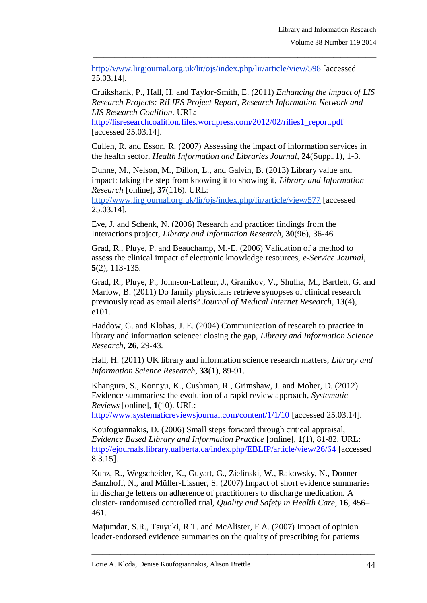<http://www.lirgjournal.org.uk/lir/ojs/index.php/lir/article/view/598> [accessed 25.03.14].

Cruikshank, P., Hall, H. and Taylor-Smith, E. (2011) *Enhancing the impact of LIS Research Projects: RiLIES Project Report, Research Information Network and LIS Research Coalition*. URL:

\_\_\_\_\_\_\_\_\_\_\_\_\_\_\_\_\_\_\_\_\_\_\_\_\_\_\_\_\_\_\_\_\_\_\_\_\_\_\_\_\_\_\_\_\_\_\_\_\_\_\_\_\_\_\_\_\_\_\_\_\_\_\_\_\_\_\_\_\_\_\_\_\_\_\_\_\_\_\_

[http://lisresearchcoalition.files.wordpress.com/2012/02/rilies1\\_report.pdf](http://lisresearchcoalition.files.wordpress.com/2012/02/rilies1_report.pdf) [accessed 25.03.14].

Cullen, R. and Esson, R. (2007) Assessing the impact of information services in the health sector, *Health Information and Libraries Journal,* **24**(Suppl.1), 1-3.

Dunne, M., Nelson, M., Dillon, L., and Galvin, B. (2013) Library value and impact: taking the step from knowing it to showing it, *Library and Information Research* [online], **37**(116). URL:

<http://www.lirgjournal.org.uk/lir/ojs/index.php/lir/article/view/577> [accessed 25.03.14].

Eve, J. and Schenk, N. (2006) Research and practice: findings from the Interactions project, *Library and Information Research,* **30**(96), 36-46.

Grad, R., Pluye, P. and Beauchamp, M.-E. (2006) Validation of a method to assess the clinical impact of electronic knowledge resources, *e-Service Journal,*  **5**(2), 113-135.

Grad, R., Pluye, P., Johnson-Lafleur, J., Granikov, V., Shulha, M., Bartlett, G. and Marlow, B. (2011) Do family physicians retrieve synopses of clinical research previously read as email alerts? *Journal of Medical Internet Research*, **13**(4), e101.

Haddow, G. and Klobas, J. E. (2004) Communication of research to practice in library and information science: closing the gap, *Library and Information Science Research,* **26**, 29-43.

Hall, H. (2011) UK library and information science research matters, *Library and Information Science Research*, **33**(1), 89‐91.

Khangura, S., Konnyu, K., Cushman, R., Grimshaw, J. and Moher, D. (2012) Evidence summaries: the evolution of a rapid review approach, *Systematic Reviews* [online], **1**(10). URL:

<http://www.systematicreviewsjournal.com/content/1/1/10> [accessed 25.03.14].

Koufogiannakis, D. (2006) Small steps forward through critical appraisal, *Evidence Based Library and Information Practice* [online]*,* **1**(1), 81-82. URL: <http://ejournals.library.ualberta.ca/index.php/EBLIP/article/view/26/64> [accessed 8.3.15].

Kunz, R., Wegscheider, K., Guyatt, G., Zielinski, W., Rakowsky, N., Donner-Banzhoff, N., and Müller-Lissner, S. (2007) Impact of short evidence summaries in discharge letters on adherence of practitioners to discharge medication. A cluster- randomised controlled trial, *Quality and Safety in Health Care*, **16**, 456– 461.

Majumdar, S.R., Tsuyuki, R.T. and McAlister, F.A. (2007) Impact of opinion leader-endorsed evidence summaries on the quality of prescribing for patients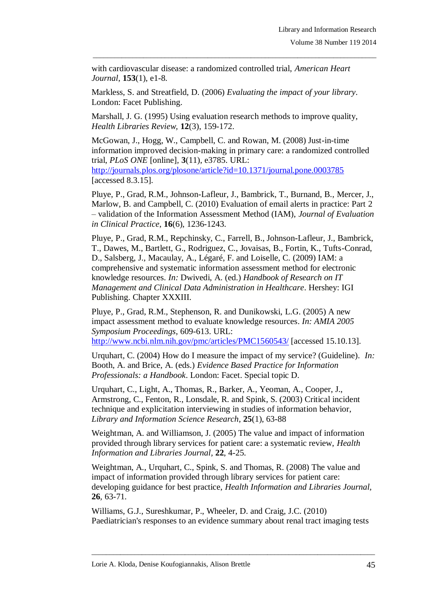with cardiovascular disease: a randomized controlled trial, *American Heart Journal*, **153**(1), e1-8.

\_\_\_\_\_\_\_\_\_\_\_\_\_\_\_\_\_\_\_\_\_\_\_\_\_\_\_\_\_\_\_\_\_\_\_\_\_\_\_\_\_\_\_\_\_\_\_\_\_\_\_\_\_\_\_\_\_\_\_\_\_\_\_\_\_\_\_\_\_\_\_\_\_\_\_\_\_\_\_

Markless, S. and Streatfield, D. (2006) *Evaluating the impact of your library*. London: Facet Publishing.

Marshall, J. G. (1995) Using evaluation research methods to improve quality, *Health Libraries Review,* **12**(3), 159-172.

McGowan, J., Hogg, W., Campbell, C. and Rowan, M. (2008) Just-in-time information improved decision-making in primary care: a randomized controlled trial, *PLoS ONE* [online]*,* **3**(11), e3785. URL: <http://journals.plos.org/plosone/article?id=10.1371/journal.pone.0003785> [accessed 8.3.15].

Pluye, P., Grad, R.M., Johnson-Lafleur, J., Bambrick, T., Burnand, B., Mercer, J., Marlow, B. and Campbell, C. (2010) Evaluation of email alerts in practice: Part 2 – validation of the Information Assessment Method (IAM), *Journal of Evaluation in Clinical Practice*, **16**(6), 1236-1243.

Pluye, P., Grad, R.M., Repchinsky, C., Farrell, B., Johnson-Lafleur, J., Bambrick, T., Dawes, M., Bartlett, G., Rodriguez, C., Jovaisas, B., Fortin, K., Tufts-Conrad, D., Salsberg, J., Macaulay, A., Légaré, F. and Loiselle, C. (2009) IAM: a comprehensive and systematic information assessment method for electronic knowledge resources. *In:* Dwivedi, A. (ed.) *Handbook of Research on IT Management and Clinical Data Administration in Healthcare*. Hershey: IGI Publishing. Chapter XXXIII.

Pluye, P., Grad, R.M., Stephenson, R. and Dunikowski, L.G. (2005) A new impact assessment method to evaluate knowledge resources. *In: AMIA 2005 Symposium Proceedings*, 609-613. URL: <http://www.ncbi.nlm.nih.gov/pmc/articles/PMC1560543/> [accessed 15.10.13].

Urquhart, C. (2004) How do I measure the impact of my service? (Guideline). *In:* Booth, A. and Brice, A. (eds.) *Evidence Based Practice for Information Professionals: a Handbook*. London: Facet. Special topic D.

Urquhart, C., Light, A., Thomas, R., Barker, A., Yeoman, A., Cooper, J., Armstrong, C., Fenton, R., Lonsdale, R. and Spink, S. (2003) Critical incident technique and explicitation interviewing in studies of information behavior, *Library and Information Science Research*, **25**(1), 63-88

Weightman, A. and Williamson, J. (2005) The value and impact of information provided through library services for patient care: a systematic review, *Health Information and Libraries Journal,* **22**, 4-25.

Weightman, A., Urquhart, C., Spink, S. and Thomas, R. (2008) The value and impact of information provided through library services for patient care: developing guidance for best practice, *Health Information and Libraries Journal,* **26***,* 63-71.

Williams, G.J., Sureshkumar, P., Wheeler, D. and Craig, J.C. (2010) Paediatrician's responses to an evidence summary about renal tract imaging tests